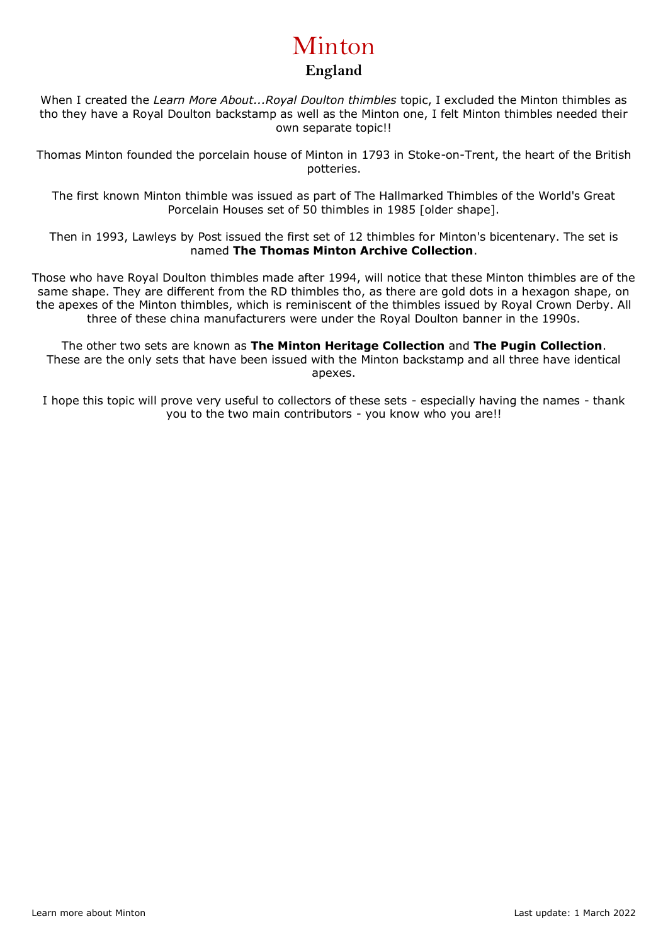# Minton **England**

When I created the *Learn More About...Royal Doulton thimbles* topic, I excluded the Minton thimbles as tho they have a Royal Doulton backstamp as well as the Minton one, I felt Minton thimbles needed their own separate topic!!

Thomas Minton founded the porcelain house of Minton in 1793 in Stoke-on-Trent, the heart of the British potteries.

The first known Minton thimble was issued as part of The Hallmarked Thimbles of the World's Great Porcelain Houses set of 50 thimbles in 1985 [older shape].

Then in 1993, Lawleys by Post issued the first set of 12 thimbles for Minton's bicentenary. The set is named **The Thomas Minton Archive Collection**.

Those who have Royal Doulton thimbles made after 1994, will notice that these Minton thimbles are of the same shape. They are different from the RD thimbles tho, as there are gold dots in a hexagon shape, on the apexes of the Minton thimbles, which is reminiscent of the thimbles issued by Royal Crown Derby. All three of these china manufacturers were under the Royal Doulton banner in the 1990s.

The other two sets are known as **The Minton Heritage Collection** and **The Pugin Collection**. These are the only sets that have been issued with the Minton backstamp and all three have identical apexes.

I hope this topic will prove very useful to collectors of these sets - especially having the names - thank you to the two main contributors - you know who you are!!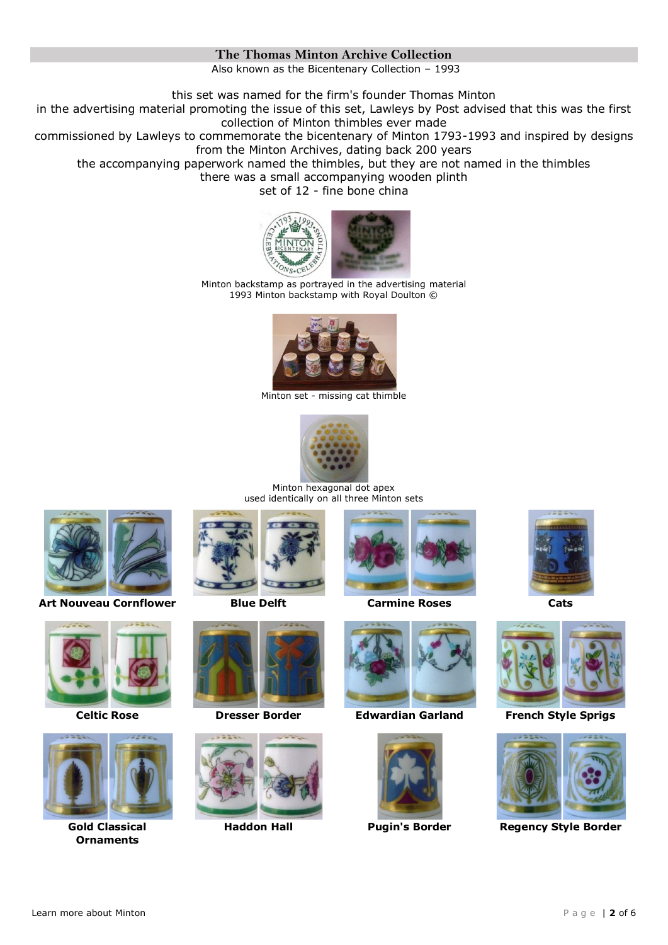# **The Thomas Minton Archive Collection**

Also known as the Bicentenary Collection – 1993

this set was named for the firm's founder Thomas Minton

in the advertising material promoting the issue of this set, Lawleys by Post advised that this was the first collection of Minton thimbles ever made

commissioned by Lawleys to commemorate the bicentenary of Minton 1793-1993 and inspired by designs from the Minton Archives, dating back 200 years

the accompanying paperwork named the thimbles, but they are not named in the thimbles

there was a small accompanying wooden plinth

set of 12 - fine bone china



Minton backstamp as portrayed in the advertising material 1993 Minton backstamp with Royal Doulton ©



Minton set - missing cat thimble



Minton hexagonal dot apex used identically on all three Minton sets



**Art Nouveau Cornflower Blue Delft Carmine Roses Cats**





**Gold Classical Ornaments**











**Celtic Rose Dresser Border Edwardian Garland French Style Sprigs**









**Haddon Hall Pugin's Border Regency Style Border**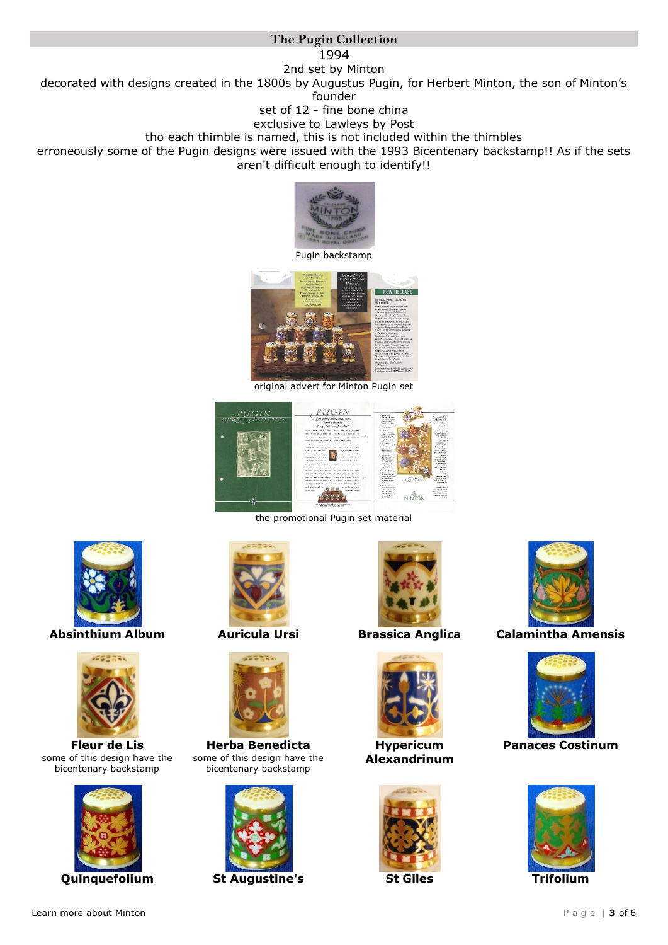# **The Pugin Collection**

1994

2nd set by Minton decorated with designs created in the 1800s by Augustus Pugin, for Herbert Minton, the son of Minton's founder

set of 12 - fine bone china

exclusive to Lawleys by Post

tho each thimble is named, this is not included within the thimbles

erroneously some of the Pugin designs were issued with the 1993 Bicentenary backstamp!! As if the sets aren't difficult enough to identify!!



Pugin backstamp



original advert for Minton Pugin set



the promotional Pugin set material





**Fleur de Lis** some of this design have the bicentenary backstamp







**Herba Benedicta** some of this design have the bicentenary backstamp



**Quinquefolium St Augustine's St Giles Trifolium**





**Hypericum Alexandrinum**





**Absinthium Album Auricula Ursi Brassica Anglica Calamintha Amensis**



**Panaces Costinum**

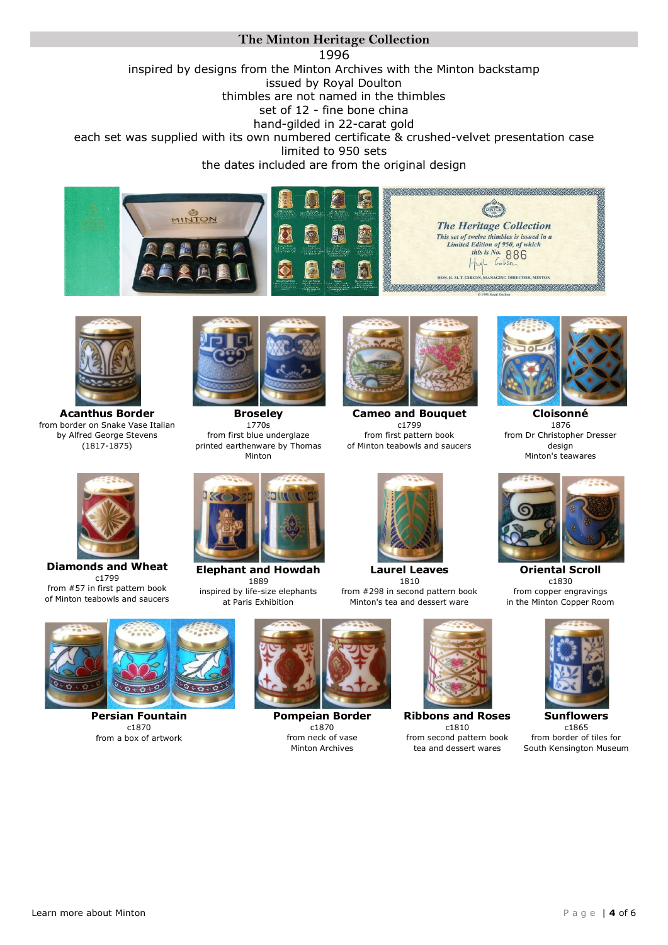#### **The Minton Heritage Collection**  1996 inspired by designs from the Minton Archives with the Minton backstamp issued by Royal Doulton thimbles are not named in the thimbles set of 12 - fine bone china hand-gilded in 22-carat gold each set was supplied with its own numbered certificate & crushed-velvet presentation case limited to 950 sets the dates included are from the original design





**Acanthus Border** from border on Snake Vase Italian by Alfred George Stevens (1817-1875)



**Broseley** 1770s from first blue underglaze printed earthenware by Thomas Minton



**Cameo and Bouquet** c1799 from first pattern book of Minton teabowls and saucers



**Cloisonné** 1876 from Dr Christopher Dresser design Minton's teawares



**Diamonds and Wheat** c1799 from #57 in first pattern book of Minton teabowls and saucers



**Elephant and Howdah** 1889 inspired by life-size elephants at Paris Exhibition



**Laurel Leaves** 1810 from #298 in second pattern book Minton's tea and dessert ware



**Oriental Scroll** c1830 from copper engravings in the Minton Copper Room



**Persian Fountain** c1870 from a box of artwork



**Pompeian Border** c1870 from neck of vase Minton Archives



**Ribbons and Roses** c1810 from second pattern book tea and dessert wares



c1865 from border of tiles for South Kensington Museum

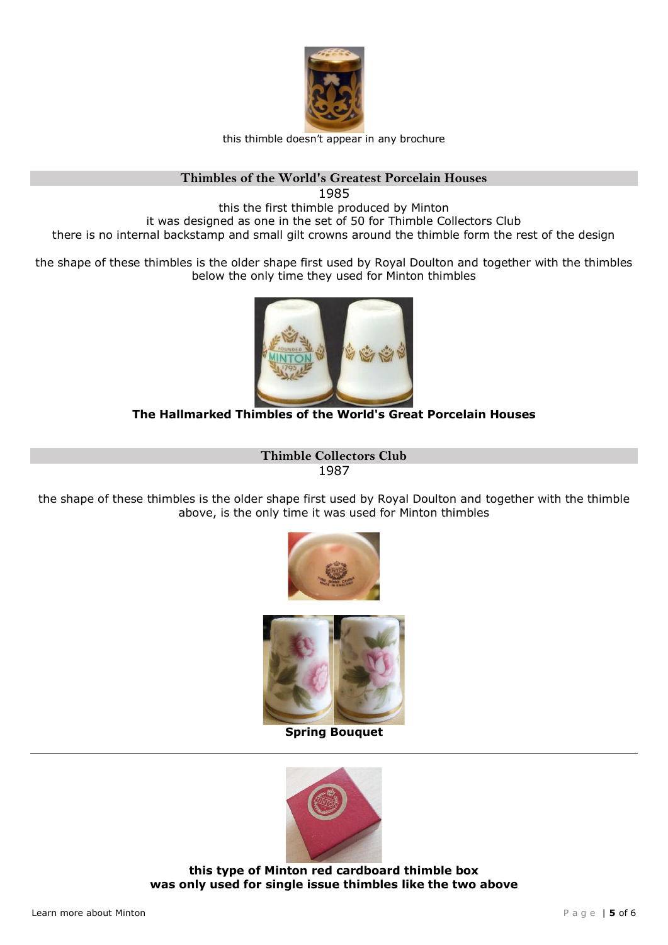

this thimble doesn't appear in any brochure

### **Thimbles of the World's Greatest Porcelain Houses**

1985 this the first thimble produced by Minton it was designed as one in the set of 50 for Thimble Collectors Club there is no internal backstamp and small gilt crowns around the thimble form the rest of the design

the shape of these thimbles is the older shape first used by Royal Doulton and together with the thimbles below the only time they used for Minton thimbles



# **The Hallmarked Thimbles of the World's Great Porcelain Houses**

**Thimble Collectors Club** 1987

the shape of these thimbles is the older shape first used by Royal Doulton and together with the thimble above, is the only time it was used for Minton thimbles





**Spring Bouquet**



**this type of Minton red cardboard thimble box was only used for single issue thimbles like the two above**